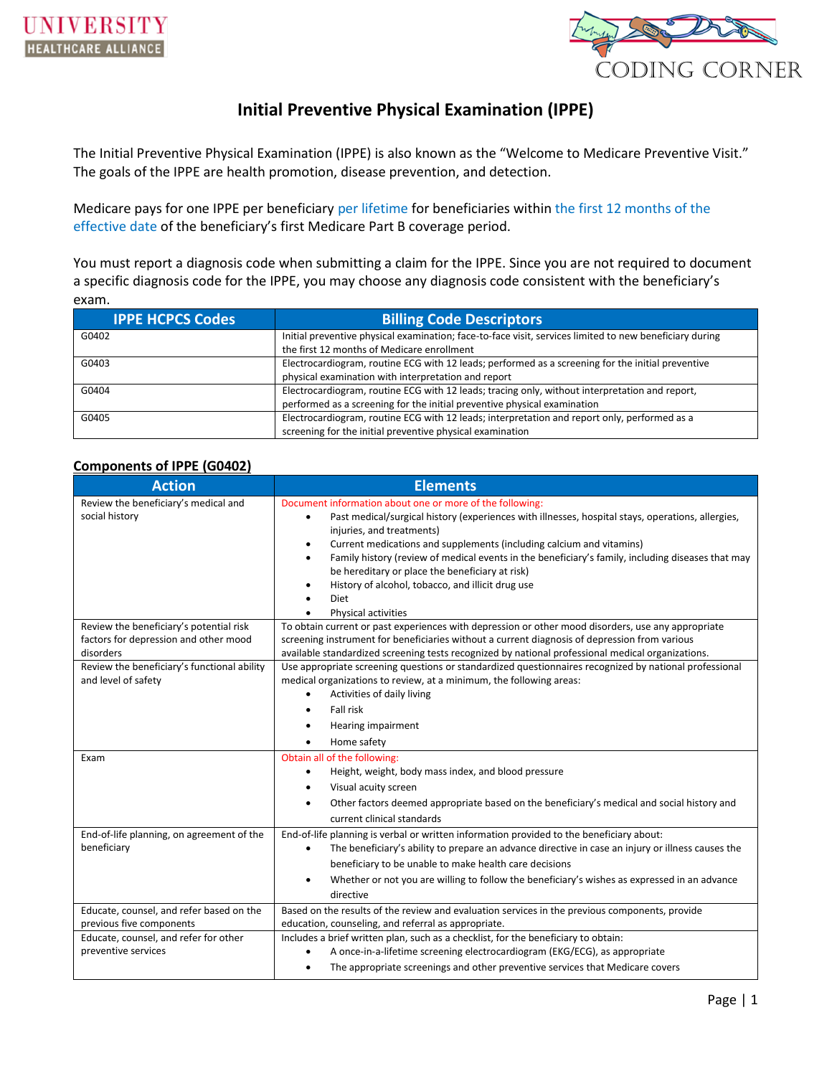

## **Initial Preventive Physical Examination (IPPE)**

The Initial Preventive Physical Examination (IPPE) is also known as the "Welcome to Medicare Preventive Visit." The goals of the IPPE are health promotion, disease prevention, and detection.

Medicare pays for one IPPE per beneficiary per lifetime for beneficiaries within the first 12 months of the effective date of the beneficiary's first Medicare Part B coverage period.

You must report a diagnosis code when submitting a claim for the IPPE. Since you are not required to document a specific diagnosis code for the IPPE, you may choose any diagnosis code consistent with the beneficiary's exam.

| <b>IPPE HCPCS Codes</b> | <b>Billing Code Descriptors</b>                                                                         |  |
|-------------------------|---------------------------------------------------------------------------------------------------------|--|
| G0402                   | Initial preventive physical examination; face-to-face visit, services limited to new beneficiary during |  |
|                         | the first 12 months of Medicare enrollment                                                              |  |
| G0403                   | Electrocardiogram, routine ECG with 12 leads; performed as a screening for the initial preventive       |  |
|                         | physical examination with interpretation and report                                                     |  |
| G0404                   | Electrocardiogram, routine ECG with 12 leads; tracing only, without interpretation and report,          |  |
|                         | performed as a screening for the initial preventive physical examination                                |  |
| G0405                   | Electrocardiogram, routine ECG with 12 leads; interpretation and report only, performed as a            |  |
|                         | screening for the initial preventive physical examination                                               |  |

### **Components of IPPE (G0402)**

| <b>Action</b>                                            | <b>Elements</b>                                                                                                |  |  |  |
|----------------------------------------------------------|----------------------------------------------------------------------------------------------------------------|--|--|--|
| Review the beneficiary's medical and                     | Document information about one or more of the following:                                                       |  |  |  |
| social history                                           | Past medical/surgical history (experiences with illnesses, hospital stays, operations, allergies,<br>٠         |  |  |  |
|                                                          | injuries, and treatments)                                                                                      |  |  |  |
|                                                          | Current medications and supplements (including calcium and vitamins)<br>٠                                      |  |  |  |
|                                                          | Family history (review of medical events in the beneficiary's family, including diseases that may<br>٠         |  |  |  |
|                                                          | be hereditary or place the beneficiary at risk)                                                                |  |  |  |
|                                                          | History of alcohol, tobacco, and illicit drug use<br>$\bullet$                                                 |  |  |  |
|                                                          | Diet                                                                                                           |  |  |  |
|                                                          | <b>Physical activities</b>                                                                                     |  |  |  |
| Review the beneficiary's potential risk                  | To obtain current or past experiences with depression or other mood disorders, use any appropriate             |  |  |  |
| factors for depression and other mood                    | screening instrument for beneficiaries without a current diagnosis of depression from various                  |  |  |  |
| disorders<br>Review the beneficiary's functional ability | available standardized screening tests recognized by national professional medical organizations.              |  |  |  |
| and level of safety                                      | Use appropriate screening questions or standardized questionnaires recognized by national professional         |  |  |  |
|                                                          | medical organizations to review, at a minimum, the following areas:<br>Activities of daily living              |  |  |  |
|                                                          |                                                                                                                |  |  |  |
|                                                          | Fall risk                                                                                                      |  |  |  |
|                                                          | Hearing impairment                                                                                             |  |  |  |
|                                                          | Home safety<br>$\bullet$                                                                                       |  |  |  |
| Exam                                                     | Obtain all of the following:                                                                                   |  |  |  |
|                                                          | Height, weight, body mass index, and blood pressure<br>٠                                                       |  |  |  |
|                                                          | Visual acuity screen<br>٠                                                                                      |  |  |  |
|                                                          | Other factors deemed appropriate based on the beneficiary's medical and social history and                     |  |  |  |
|                                                          | current clinical standards                                                                                     |  |  |  |
| End-of-life planning, on agreement of the                | End-of-life planning is verbal or written information provided to the beneficiary about:                       |  |  |  |
| beneficiary                                              | The beneficiary's ability to prepare an advance directive in case an injury or illness causes the<br>$\bullet$ |  |  |  |
|                                                          | beneficiary to be unable to make health care decisions                                                         |  |  |  |
|                                                          | Whether or not you are willing to follow the beneficiary's wishes as expressed in an advance<br>$\bullet$      |  |  |  |
|                                                          | directive                                                                                                      |  |  |  |
| Educate, counsel, and refer based on the                 | Based on the results of the review and evaluation services in the previous components, provide                 |  |  |  |
| previous five components                                 | education, counseling, and referral as appropriate.                                                            |  |  |  |
| Educate, counsel, and refer for other                    | Includes a brief written plan, such as a checklist, for the beneficiary to obtain:                             |  |  |  |
| preventive services                                      | A once-in-a-lifetime screening electrocardiogram (EKG/ECG), as appropriate                                     |  |  |  |
|                                                          | The appropriate screenings and other preventive services that Medicare covers<br>٠                             |  |  |  |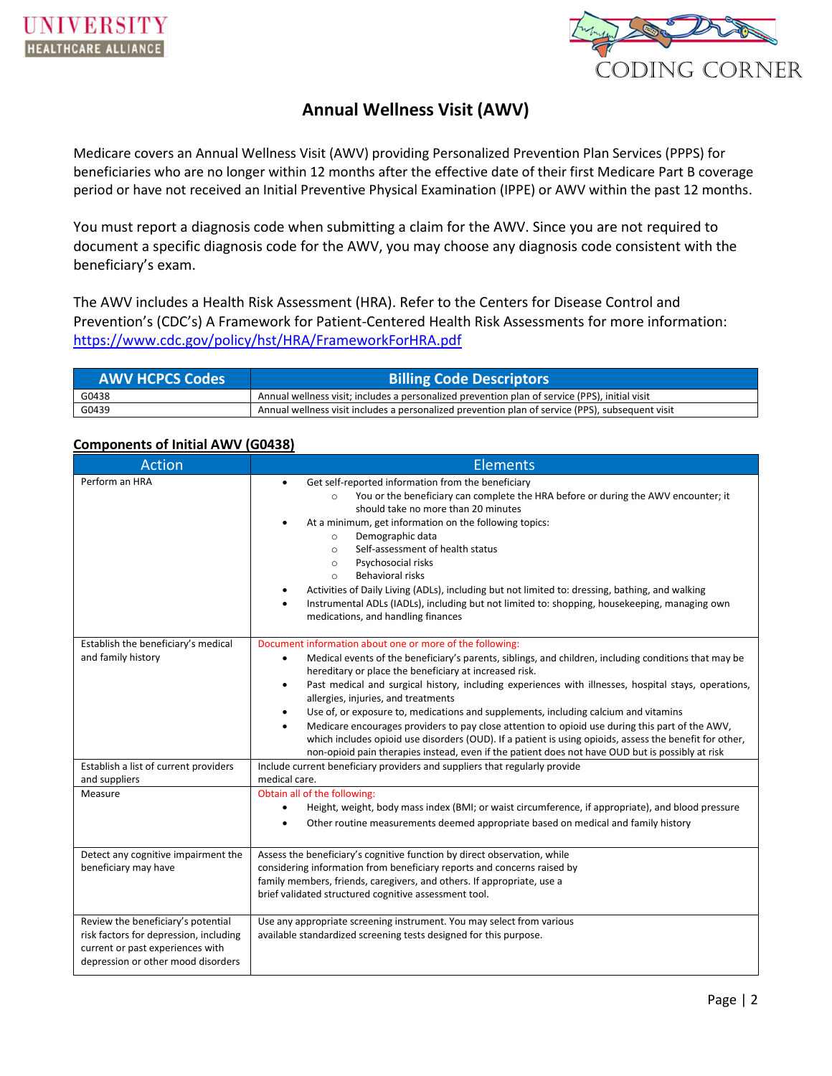

# **Annual Wellness Visit (AWV)**

Medicare covers an Annual Wellness Visit (AWV) providing Personalized Prevention Plan Services (PPPS) for beneficiaries who are no longer within 12 months after the effective date of their first Medicare Part B coverage period or have not received an Initial Preventive Physical Examination (IPPE) or AWV within the past 12 months.

You must report a diagnosis code when submitting a claim for the AWV. Since you are not required to document a specific diagnosis code for the AWV, you may choose any diagnosis code consistent with the beneficiary's exam.

The AWV includes a Health Risk Assessment (HRA). Refer to the Centers for Disease Control and Prevention's (CDC's) A Framework for Patient-Centered Health Risk Assessments for more information: <https://www.cdc.gov/policy/hst/HRA/FrameworkForHRA.pdf>

| <b>AWV HCPCS Codes</b><br><b>Billing Code Descriptors</b> |                                                                                                  |
|-----------------------------------------------------------|--------------------------------------------------------------------------------------------------|
| G0438                                                     | Annual wellness visit; includes a personalized prevention plan of service (PPS), initial visit   |
| G0439                                                     | Annual wellness visit includes a personalized prevention plan of service (PPS), subsequent visit |

### **Components of Initial AWV (G0438)**

| <b>Action</b>                                                                                                                                          | Elements                                                                                                                                                                                                                                                                                                                                                                                                                                                                                                                                                                                                                                                                                                                                                                                           |  |  |
|--------------------------------------------------------------------------------------------------------------------------------------------------------|----------------------------------------------------------------------------------------------------------------------------------------------------------------------------------------------------------------------------------------------------------------------------------------------------------------------------------------------------------------------------------------------------------------------------------------------------------------------------------------------------------------------------------------------------------------------------------------------------------------------------------------------------------------------------------------------------------------------------------------------------------------------------------------------------|--|--|
| Perform an HRA                                                                                                                                         | Get self-reported information from the beneficiary<br>You or the beneficiary can complete the HRA before or during the AWV encounter; it<br>$\circ$<br>should take no more than 20 minutes<br>At a minimum, get information on the following topics:<br>Demographic data<br>$\circ$<br>Self-assessment of health status<br>$\circ$<br>Psychosocial risks<br>$\circ$<br><b>Behavioral risks</b><br>$\circ$<br>Activities of Daily Living (ADLs), including but not limited to: dressing, bathing, and walking<br>٠<br>Instrumental ADLs (IADLs), including but not limited to: shopping, housekeeping, managing own<br>$\bullet$<br>medications, and handling finances                                                                                                                              |  |  |
| Establish the beneficiary's medical<br>and family history                                                                                              | Document information about one or more of the following:<br>Medical events of the beneficiary's parents, siblings, and children, including conditions that may be<br>٠<br>hereditary or place the beneficiary at increased risk.<br>Past medical and surgical history, including experiences with illnesses, hospital stays, operations,<br>٠<br>allergies, injuries, and treatments<br>Use of, or exposure to, medications and supplements, including calcium and vitamins<br>٠<br>Medicare encourages providers to pay close attention to opioid use during this part of the AWV,<br>which includes opioid use disorders (OUD). If a patient is using opioids, assess the benefit for other,<br>non-opioid pain therapies instead, even if the patient does not have OUD but is possibly at risk |  |  |
| Establish a list of current providers<br>and suppliers                                                                                                 | Include current beneficiary providers and suppliers that regularly provide<br>medical care.                                                                                                                                                                                                                                                                                                                                                                                                                                                                                                                                                                                                                                                                                                        |  |  |
| Measure                                                                                                                                                | Obtain all of the following:<br>Height, weight, body mass index (BMI; or waist circumference, if appropriate), and blood pressure<br>Other routine measurements deemed appropriate based on medical and family history                                                                                                                                                                                                                                                                                                                                                                                                                                                                                                                                                                             |  |  |
| Detect any cognitive impairment the<br>beneficiary may have                                                                                            | Assess the beneficiary's cognitive function by direct observation, while<br>considering information from beneficiary reports and concerns raised by<br>family members, friends, caregivers, and others. If appropriate, use a<br>brief validated structured cognitive assessment tool.                                                                                                                                                                                                                                                                                                                                                                                                                                                                                                             |  |  |
| Review the beneficiary's potential<br>risk factors for depression, including<br>current or past experiences with<br>depression or other mood disorders | Use any appropriate screening instrument. You may select from various<br>available standardized screening tests designed for this purpose.                                                                                                                                                                                                                                                                                                                                                                                                                                                                                                                                                                                                                                                         |  |  |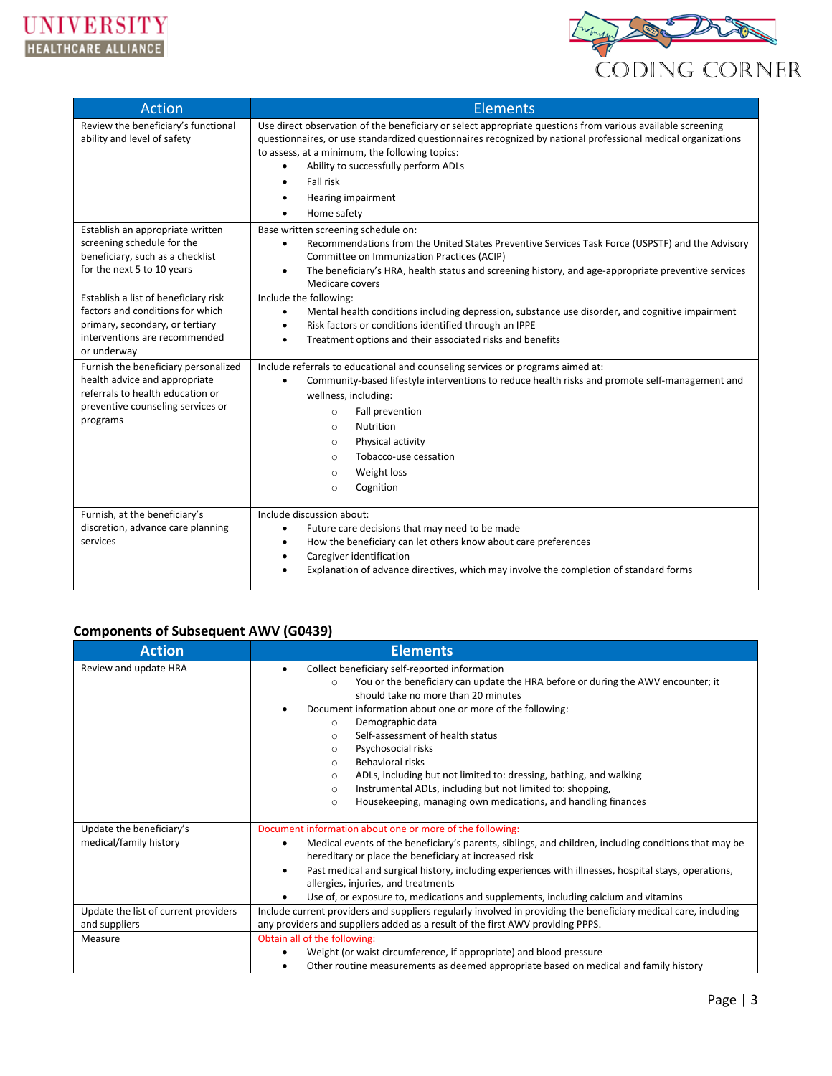

| <b>Action</b>                                                                                                                                               | <b>Elements</b>                                                                                                                                                                                                                                                                                                                                                                                    |  |  |
|-------------------------------------------------------------------------------------------------------------------------------------------------------------|----------------------------------------------------------------------------------------------------------------------------------------------------------------------------------------------------------------------------------------------------------------------------------------------------------------------------------------------------------------------------------------------------|--|--|
| Review the beneficiary's functional<br>ability and level of safety                                                                                          | Use direct observation of the beneficiary or select appropriate questions from various available screening<br>questionnaires, or use standardized questionnaires recognized by national professional medical organizations<br>to assess, at a minimum, the following topics:<br>Ability to successfully perform ADLs<br>٠<br>Fall risk<br>$\bullet$<br>Hearing impairment<br>٠<br>Home safety<br>٠ |  |  |
| Establish an appropriate written<br>screening schedule for the<br>beneficiary, such as a checklist<br>for the next 5 to 10 years                            | Base written screening schedule on:<br>Recommendations from the United States Preventive Services Task Force (USPSTF) and the Advisory<br>$\bullet$<br>Committee on Immunization Practices (ACIP)<br>The beneficiary's HRA, health status and screening history, and age-appropriate preventive services<br>$\bullet$<br>Medicare covers                                                           |  |  |
| Establish a list of beneficiary risk<br>factors and conditions for which<br>primary, secondary, or tertiary<br>interventions are recommended<br>or underway | Include the following:<br>Mental health conditions including depression, substance use disorder, and cognitive impairment<br>$\bullet$<br>Risk factors or conditions identified through an IPPE<br>$\bullet$<br>Treatment options and their associated risks and benefits<br>٠                                                                                                                     |  |  |
| Furnish the beneficiary personalized<br>health advice and appropriate<br>referrals to health education or<br>preventive counseling services or<br>programs  | Include referrals to educational and counseling services or programs aimed at:<br>Community-based lifestyle interventions to reduce health risks and promote self-management and<br>wellness, including:<br>Fall prevention<br>$\circ$<br>Nutrition<br>$\circ$<br>Physical activity<br>$\circ$<br>Tobacco-use cessation<br>$\circ$<br>Weight loss<br>$\circ$<br>Cognition<br>$\Omega$              |  |  |
| Furnish, at the beneficiary's<br>discretion, advance care planning<br>services                                                                              | Include discussion about:<br>Future care decisions that may need to be made<br>$\bullet$<br>How the beneficiary can let others know about care preferences<br>$\bullet$<br>Caregiver identification<br>$\bullet$<br>Explanation of advance directives, which may involve the completion of standard forms<br>٠                                                                                     |  |  |

## **Components of Subsequent AWV (G0439)**

| <b>Action</b>                                         | <b>Elements</b>                                                                                                                                                                                                                                                                                                                                                                                                                                                                                                                                                                                                                     |  |  |
|-------------------------------------------------------|-------------------------------------------------------------------------------------------------------------------------------------------------------------------------------------------------------------------------------------------------------------------------------------------------------------------------------------------------------------------------------------------------------------------------------------------------------------------------------------------------------------------------------------------------------------------------------------------------------------------------------------|--|--|
| Review and update HRA                                 | Collect beneficiary self-reported information<br>You or the beneficiary can update the HRA before or during the AWV encounter; it<br>$\circ$<br>should take no more than 20 minutes<br>Document information about one or more of the following:<br>Demographic data<br>$\circ$<br>Self-assessment of health status<br>$\circ$<br>Psychosocial risks<br>$\circ$<br>Behavioral risks<br>$\circ$<br>ADLs, including but not limited to: dressing, bathing, and walking<br>$\circ$<br>Instrumental ADLs, including but not limited to: shopping,<br>$\circ$<br>Housekeeping, managing own medications, and handling finances<br>$\circ$ |  |  |
| Update the beneficiary's<br>medical/family history    | Document information about one or more of the following:<br>Medical events of the beneficiary's parents, siblings, and children, including conditions that may be<br>٠<br>hereditary or place the beneficiary at increased risk<br>Past medical and surgical history, including experiences with illnesses, hospital stays, operations,<br>٠<br>allergies, injuries, and treatments<br>Use of, or exposure to, medications and supplements, including calcium and vitamins                                                                                                                                                          |  |  |
| Update the list of current providers<br>and suppliers | Include current providers and suppliers regularly involved in providing the beneficiary medical care, including<br>any providers and suppliers added as a result of the first AWV providing PPPS.                                                                                                                                                                                                                                                                                                                                                                                                                                   |  |  |
| Measure                                               | Obtain all of the following:<br>Weight (or waist circumference, if appropriate) and blood pressure<br>Other routine measurements as deemed appropriate based on medical and family history<br>٠                                                                                                                                                                                                                                                                                                                                                                                                                                     |  |  |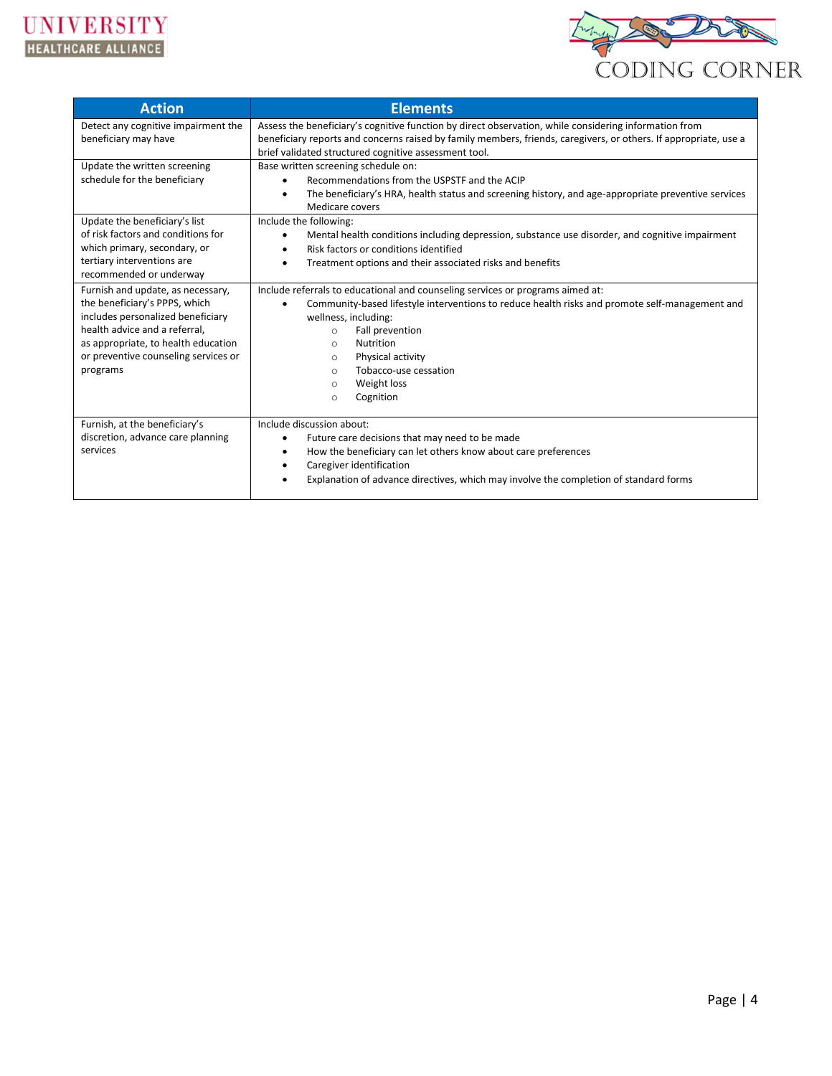



| <b>Action</b>                                                                                                                                                                                                                                                                                                                                                                                                                                           | <b>Elements</b>                                                                                                                                                                                                                                                                                                                                                                                                                                                                                                                                                                                                                                                                                                                                                                                                                                                      |  |  |
|---------------------------------------------------------------------------------------------------------------------------------------------------------------------------------------------------------------------------------------------------------------------------------------------------------------------------------------------------------------------------------------------------------------------------------------------------------|----------------------------------------------------------------------------------------------------------------------------------------------------------------------------------------------------------------------------------------------------------------------------------------------------------------------------------------------------------------------------------------------------------------------------------------------------------------------------------------------------------------------------------------------------------------------------------------------------------------------------------------------------------------------------------------------------------------------------------------------------------------------------------------------------------------------------------------------------------------------|--|--|
| Detect any cognitive impairment the<br>beneficiary may have                                                                                                                                                                                                                                                                                                                                                                                             | Assess the beneficiary's cognitive function by direct observation, while considering information from<br>beneficiary reports and concerns raised by family members, friends, caregivers, or others. If appropriate, use a                                                                                                                                                                                                                                                                                                                                                                                                                                                                                                                                                                                                                                            |  |  |
| Update the written screening<br>schedule for the beneficiary<br>Update the beneficiary's list<br>of risk factors and conditions for<br>which primary, secondary, or<br>tertiary interventions are<br>recommended or underway<br>Furnish and update, as necessary,<br>the beneficiary's PPPS, which<br>includes personalized beneficiary<br>health advice and a referral,<br>as appropriate, to health education<br>or preventive counseling services or | brief validated structured cognitive assessment tool.<br>Base written screening schedule on:<br>Recommendations from the USPSTF and the ACIP<br>The beneficiary's HRA, health status and screening history, and age-appropriate preventive services<br>$\bullet$<br>Medicare covers<br>Include the following:<br>Mental health conditions including depression, substance use disorder, and cognitive impairment<br>$\bullet$<br>Risk factors or conditions identified<br>٠<br>Treatment options and their associated risks and benefits<br>$\bullet$<br>Include referrals to educational and counseling services or programs aimed at:<br>Community-based lifestyle interventions to reduce health risks and promote self-management and<br>$\bullet$<br>wellness, including:<br>Fall prevention<br>$\circ$<br>Nutrition<br>$\circ$<br>Physical activity<br>$\circ$ |  |  |
| programs                                                                                                                                                                                                                                                                                                                                                                                                                                                | Tobacco-use cessation<br>$\circ$<br>Weight loss<br>$\circ$<br>Cognition<br>$\circ$                                                                                                                                                                                                                                                                                                                                                                                                                                                                                                                                                                                                                                                                                                                                                                                   |  |  |
| Furnish, at the beneficiary's<br>discretion, advance care planning<br>services                                                                                                                                                                                                                                                                                                                                                                          | Include discussion about:<br>Future care decisions that may need to be made<br>$\bullet$<br>How the beneficiary can let others know about care preferences<br>٠<br>Caregiver identification<br>٠<br>Explanation of advance directives, which may involve the completion of standard forms                                                                                                                                                                                                                                                                                                                                                                                                                                                                                                                                                                            |  |  |